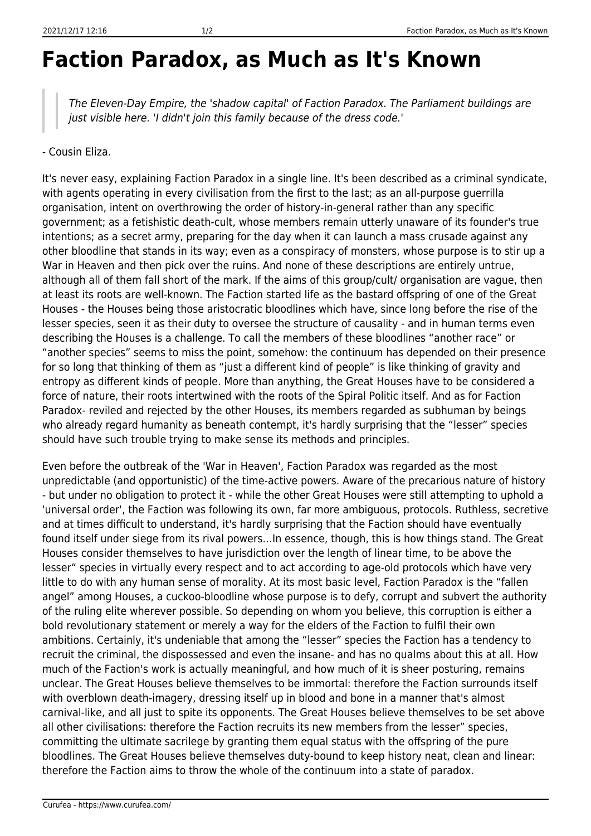## **Faction Paradox, as Much as It's Known**

The Eleven-Day Empire, the 'shadow capital' of Faction Paradox. The Parliament buildings are just visible here. 'I didn't join this family because of the dress code.'

## - Cousin Eliza.

It's never easy, explaining Faction Paradox in a single line. It's been described as a criminal syndicate, with agents operating in every civilisation from the first to the last; as an all-purpose guerrilla organisation, intent on overthrowing the order of history-in-general rather than any specific government; as a fetishistic death-cult, whose members remain utterly unaware of its founder's true intentions; as a secret army, preparing for the day when it can launch a mass crusade against any other bloodline that stands in its way; even as a conspiracy of monsters, whose purpose is to stir up a War in Heaven and then pick over the ruins. And none of these descriptions are entirely untrue, although all of them fall short of the mark. If the aims of this group/cult/ organisation are vague, then at least its roots are well-known. The Faction started life as the bastard offspring of one of the Great Houses - the Houses being those aristocratic bloodlines which have, since long before the rise of the lesser species, seen it as their duty to oversee the structure of causality - and in human terms even describing the Houses is a challenge. To call the members of these bloodlines "another race" or "another species" seems to miss the point, somehow: the continuum has depended on their presence for so long that thinking of them as "just a different kind of people" is like thinking of gravity and entropy as different kinds of people. More than anything, the Great Houses have to be considered a force of nature, their roots intertwined with the roots of the Spiral Politic itself. And as for Faction Paradox- reviled and rejected by the other Houses, its members regarded as subhuman by beings who already regard humanity as beneath contempt, it's hardly surprising that the "lesser" species should have such trouble trying to make sense its methods and principles.

Even before the outbreak of the 'War in Heaven', Faction Paradox was regarded as the most unpredictable (and opportunistic) of the time-active powers. Aware of the precarious nature of history - but under no obligation to protect it - while the other Great Houses were still attempting to uphold a 'universal order', the Faction was following its own, far more ambiguous, protocols. Ruthless, secretive and at times difficult to understand, it's hardly surprising that the Faction should have eventually found itself under siege from its rival powers…In essence, though, this is how things stand. The Great Houses consider themselves to have jurisdiction over the length of linear time, to be above the lesser" species in virtually every respect and to act according to age-old protocols which have very little to do with any human sense of morality. At its most basic level, Faction Paradox is the "fallen angel" among Houses, a cuckoo-bloodline whose purpose is to defy, corrupt and subvert the authority of the ruling elite wherever possible. So depending on whom you believe, this corruption is either a bold revolutionary statement or merely a way for the elders of the Faction to fulfil their own ambitions. Certainly, it's undeniable that among the "lesser" species the Faction has a tendency to recruit the criminal, the dispossessed and even the insane- and has no qualms about this at all. How much of the Faction's work is actually meaningful, and how much of it is sheer posturing, remains unclear. The Great Houses believe themselves to be immortal: therefore the Faction surrounds itself with overblown death-imagery, dressing itself up in blood and bone in a manner that's almost carnival-like, and all just to spite its opponents. The Great Houses believe themselves to be set above all other civilisations: therefore the Faction recruits its new members from the lesser" species, committing the ultimate sacrilege by granting them equal status with the offspring of the pure bloodlines. The Great Houses believe themselves duty-bound to keep history neat, clean and linear: therefore the Faction aims to throw the whole of the continuum into a state of paradox.